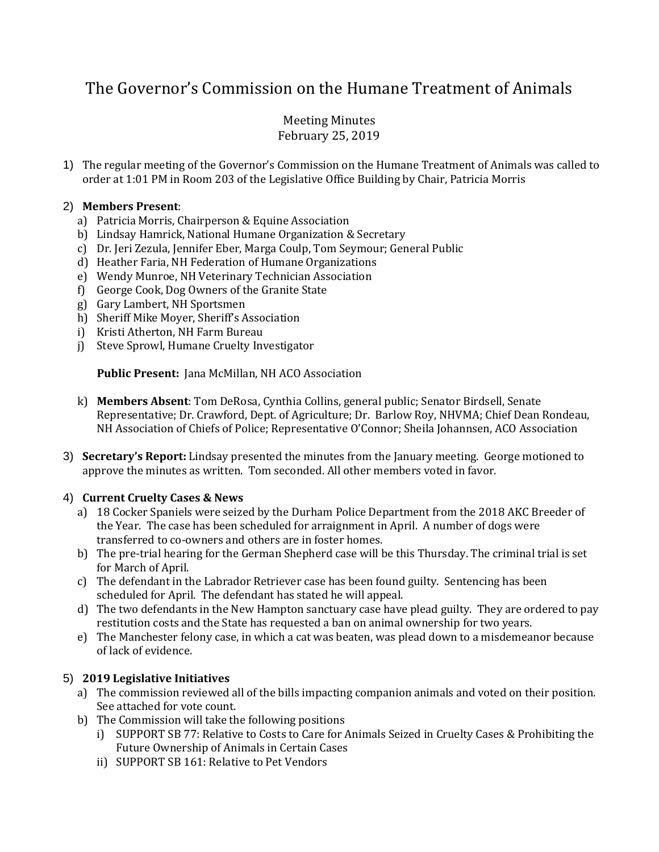# The Governor's Commission on the Humane Treatment of Animals

# Meeting Minutes February 25, 2019

1) The regular meeting of the Governor's Commission on the Humane Treatment of Animals was called to order at 1:01 PM in Room 203 of the Legislative Office Building by Chair, Patricia Morris

## 2) **Members Present**:

- a) Patricia Morris, Chairperson & Equine Association
- b) Lindsay Hamrick, National Humane Organization & Secretary
- c) Dr. Jeri Zezula, Jennifer Eber, Marga Coulp, Tom Seymour; General Public
- d) Heather Faria, NH Federation of Humane Organizations
- e) Wendy Munroe, NH Veterinary Technician Association
- f) George Cook, Dog Owners of the Granite State
- g) Gary Lambert, NH Sportsmen
- h) Sheriff Mike Moyer, Sheriff's Association
- i) Kristi Atherton, NH Farm Bureau
- j) Steve Sprowl, Humane Cruelty Investigator

#### **Public Present:** Jana McMillan, NH ACO Association

- k) **Members Absent**: Tom DeRosa, Cynthia Collins, general public; Senator Birdsell, Senate Representative; Dr. Crawford, Dept. of Agriculture; Dr. Barlow Roy, NHVMA; Chief Dean Rondeau, NH Association of Chiefs of Police; Representative O'Connor; Sheila Johannsen, ACO Association
- 3) **Secretary's Report:** Lindsay presented the minutes from the January meeting. George motioned to approve the minutes as written. Tom seconded. All other members voted in favor.

#### 4) **Current Cruelty Cases & News**

- a) 18 Cocker Spaniels were seized by the Durham Police Department from the 2018 AKC Breeder of the Year. The case has been scheduled for arraignment in April. A number of dogs were transferred to co-owners and others are in foster homes.
- b) The pre-trial hearing for the German Shepherd case will be this Thursday. The criminal trial is set for March of April.
- c) The defendant in the Labrador Retriever case has been found guilty. Sentencing has been scheduled for April. The defendant has stated he will appeal.
- d) The two defendants in the New Hampton sanctuary case have plead guilty. They are ordered to pay restitution costs and the State has requested a ban on animal ownership for two years.
- e) The Manchester felony case, in which a cat was beaten, was plead down to a misdemeanor because of lack of evidence.

# 5) **2019 Legislative Initiatives**

- a) The commission reviewed all of the bills impacting companion animals and voted on their position. See attached for vote count.
- b) The Commission will take the following positions
	- i) SUPPORT SB 77: Relative to Costs to Care for Animals Seized in Cruelty Cases & Prohibiting the Future Ownership of Animals in Certain Cases
	- ii) SUPPORT SB 161: Relative to Pet Vendors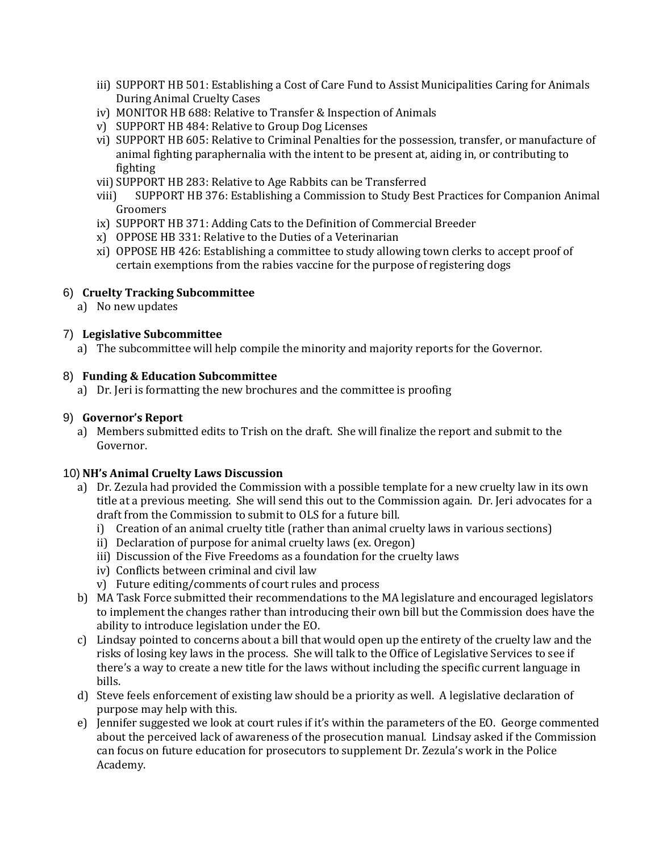- iii) SUPPORT HB 501: Establishing a Cost of Care Fund to Assist Municipalities Caring for Animals During Animal Cruelty Cases
- iv) MONITOR HB 688: Relative to Transfer & Inspection of Animals
- v) SUPPORT HB 484: Relative to Group Dog Licenses
- vi) SUPPORT HB 605: Relative to Criminal Penalties for the possession, transfer, or manufacture of animal fighting paraphernalia with the intent to be present at, aiding in, or contributing to fighting
- vii) SUPPORT HB 283: Relative to Age Rabbits can be Transferred
- viii) SUPPORT HB 376: Establishing a Commission to Study Best Practices for Companion Animal Groomers
- ix) SUPPORT HB 371: Adding Cats to the Definition of Commercial Breeder
- x) OPPOSE HB 331: Relative to the Duties of a Veterinarian
- xi) OPPOSE HB 426: Establishing a committee to study allowing town clerks to accept proof of certain exemptions from the rabies vaccine for the purpose of registering dogs

## 6) **Cruelty Tracking Subcommittee**

a) No new updates

## 7) **Legislative Subcommittee**

a) The subcommittee will help compile the minority and majority reports for the Governor.

#### 8) **Funding & Education Subcommittee**

a) Dr. Jeri is formatting the new brochures and the committee is proofing

#### 9) **Governor's Report**

a) Members submitted edits to Trish on the draft. She will finalize the report and submit to the Governor.

#### 10) **NH's Animal Cruelty Laws Discussion**

- a) Dr. Zezula had provided the Commission with a possible template for a new cruelty law in its own title at a previous meeting. She will send this out to the Commission again. Dr. Jeri advocates for a draft from the Commission to submit to OLS for a future bill.
	- i) Creation of an animal cruelty title (rather than animal cruelty laws in various sections)
	- ii) Declaration of purpose for animal cruelty laws (ex. Oregon)
	- iii) Discussion of the Five Freedoms as a foundation for the cruelty laws
	- iv) Conflicts between criminal and civil law
	- v) Future editing/comments of court rules and process
- b) MA Task Force submitted their recommendations to the MA legislature and encouraged legislators to implement the changes rather than introducing their own bill but the Commission does have the ability to introduce legislation under the EO.
- c) Lindsay pointed to concerns about a bill that would open up the entirety of the cruelty law and the risks of losing key laws in the process. She will talk to the Office of Legislative Services to see if there's a way to create a new title for the laws without including the specific current language in bills.
- d) Steve feels enforcement of existing law should be a priority as well. A legislative declaration of purpose may help with this.
- e) Jennifer suggested we look at court rules if it's within the parameters of the EO. George commented about the perceived lack of awareness of the prosecution manual. Lindsay asked if the Commission can focus on future education for prosecutors to supplement Dr. Zezula's work in the Police Academy.